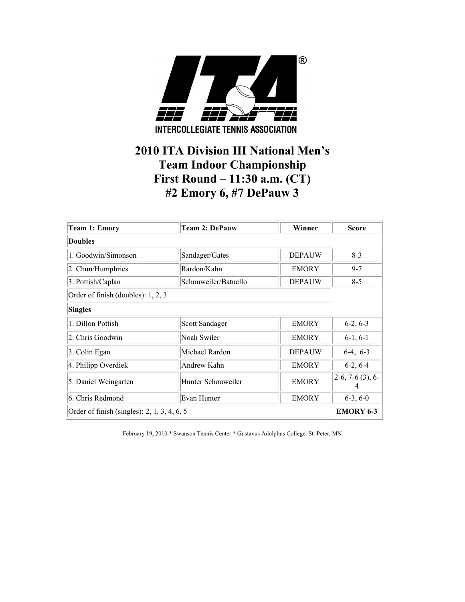

## **2010 ITA Division III National Men's Team Indoor Championship First Round – 11:30 a.m. (CT) #2 Emory 6, #7 DePauw 3**

| <b>Team 1: Emory</b>                          | <b>Team 2: DePauw</b>       | Winner        | <b>Score</b>       |  |
|-----------------------------------------------|-----------------------------|---------------|--------------------|--|
| <b>Doubles</b>                                |                             |               |                    |  |
| 1. Goodwin/Simonson                           | Sandager/Gates              | <b>DEPAUW</b> | $8-3$              |  |
| 2. Chun/Humphries                             | Rardon/Kahn                 | <b>EMORY</b>  | $9 - 7$            |  |
| 3. Pottish/Caplan                             | Schouweiler/Batuello        | <b>DEPAUW</b> | $8-5$              |  |
| Order of finish (doubles): 1, 2, 3            |                             |               |                    |  |
| <b>Singles</b>                                |                             |               |                    |  |
| 1. Dillon Pottish                             | Scott Sandager              | <b>EMORY</b>  | $6-2, 6-3$         |  |
| 2. Chris Goodwin                              | Noah Swiler                 | <b>EMORY</b>  | $6-1, 6-1$         |  |
| 3. Colin Egan                                 | Michael Rardon              | <b>DEPAUW</b> | $6-4, 6-3$         |  |
| 4. Philipp Overdiek                           | Andrew Kahn<br><b>EMORY</b> |               |                    |  |
| 5. Daniel Weingarten                          | Hunter Schouweiler          | <b>EMORY</b>  | $2-6, 7-6$ (3), 6- |  |
| 6. Chris Redmond                              | Evan Hunter                 | <b>EMORY</b>  | $6-3, 6-0$         |  |
| Order of finish (singles): $2, 1, 3, 4, 6, 5$ |                             |               | <b>EMORY 6-3</b>   |  |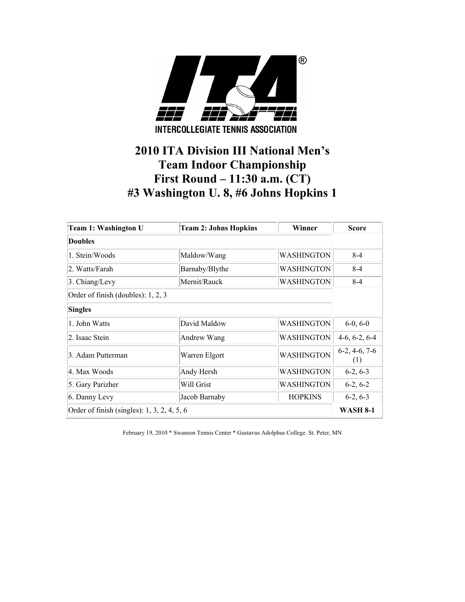

# **2010 ITA Division III National Men's Team Indoor Championship First Round – 11:30 a.m. (CT) #3 Washington U. 8, #6 Johns Hopkins 1**

| Team 1: Washington U                        | <b>Team 2: Johns Hopkins</b> | Winner            | <b>Score</b>           |
|---------------------------------------------|------------------------------|-------------------|------------------------|
| Doubles                                     |                              |                   |                        |
| 1. Stein/Woods                              | Maldow/Wang                  | <b>WASHINGTON</b> | $8 - 4$                |
| 2. Watts/Farah                              | Barnaby/Blythe               | WASHINGTON        | $8 - 4$                |
| 3. Chiang/Levy                              | Mernit/Rauck                 | WASHINGTON        | $8 - 4$                |
| Order of finish (doubles): 1, 2, 3          |                              |                   |                        |
| <b>Singles</b>                              |                              |                   |                        |
| 1. John Watts                               | David Maldow                 | <b>WASHINGTON</b> | $6-0, 6-0$             |
| 2. Isaac Stein                              | Andrew Wang                  | WASHINGTON        | $4-6, 6-2, 6-4$        |
| 3. Adam Putterman                           | Warren Elgort                | <b>WASHINGTON</b> | $6-2, 4-6, 7-6$<br>(1) |
| 4. Max Woods                                | Andy Hersh                   | WASHINGTON        | $6-2, 6-3$             |
| 5. Gary Parizher                            | Will Grist                   | WASHINGTON        | $6-2, 6-2$             |
| 6. Danny Levy                               | Jacob Barnaby                | <b>HOPKINS</b>    | $6-2, 6-3$             |
| Order of finish (singles): 1, 3, 2, 4, 5, 6 |                              |                   | <b>WASH 8-1</b>        |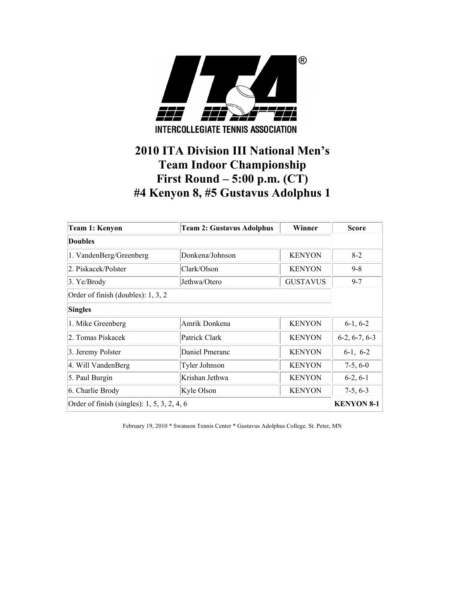

# **2010 ITA Division III National Men's Team Indoor Championship First Round – 5:00 p.m. (CT) #4 Kenyon 8, #5 Gustavus Adolphus 1**

| Team 1: Kenyon                              | <b>Team 2: Gustavus Adolphus</b> | Winner          | <b>Score</b>      |
|---------------------------------------------|----------------------------------|-----------------|-------------------|
| <b>Doubles</b>                              |                                  |                 |                   |
| 1. VandenBerg/Greenberg                     | Donkena/Johnson                  | <b>KENYON</b>   | $8-2$             |
| 2. Piskacek/Polster                         | Clark/Olson                      | <b>KENYON</b>   | $9 - 8$           |
| $3.$ Ye/Brody                               | Jethwa/Otero                     | <b>GUSTAVUS</b> | $9 - 7$           |
| Order of finish (doubles): 1, 3, 2          |                                  |                 |                   |
| <b>Singles</b>                              |                                  |                 |                   |
| 1. Mike Greenberg                           | Amrik Donkena                    | <b>KENYON</b>   | $6-1, 6-2$        |
| 2. Tomas Piskacek                           | Patrick Clark                    | <b>KENYON</b>   | $6-2, 6-7, 6-3$   |
| 3. Jeremy Polster                           | Daniel Pmeranc                   | <b>KENYON</b>   | $6-1, 6-2$        |
| 4. Will VandenBerg                          | Tyler Johnson                    | <b>KENYON</b>   | $7-5, 6-0$        |
| 5. Paul Burgin                              | Krishan Jethwa                   | <b>KENYON</b>   | $6-2, 6-1$        |
| 6. Charlie Brody                            | Kyle Olson                       | <b>KENYON</b>   | $7-5, 6-3$        |
| Order of finish (singles): 1, 5, 3, 2, 4, 6 |                                  |                 | <b>KENYON 8-1</b> |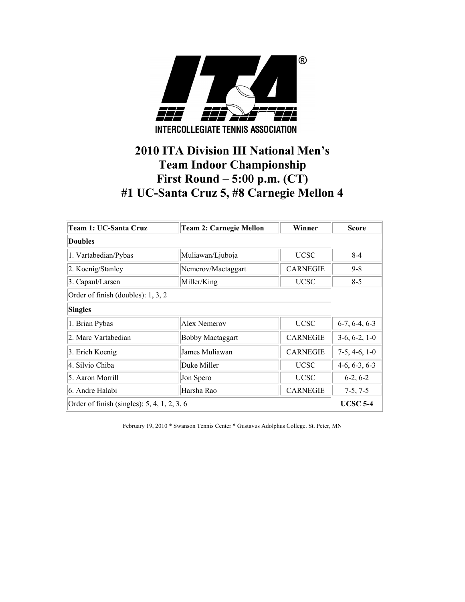

# **2010 ITA Division III National Men's Team Indoor Championship First Round – 5:00 p.m. (CT) #1 UC-Santa Cruz 5, #8 Carnegie Mellon 4**

| Team 1: UC-Santa Cruz                       | <b>Team 2: Carnegie Mellon</b> | Winner          | <b>Score</b>    |
|---------------------------------------------|--------------------------------|-----------------|-----------------|
| <b>Doubles</b>                              |                                |                 |                 |
| 1. Vartabedian/Pybas                        | Muliawan/Ljuboja               | <b>UCSC</b>     | $8 - 4$         |
| 2. Koenig/Stanley                           | Nemerov/Mactaggart             | <b>CARNEGIE</b> | $9 - 8$         |
| 3. Capaul/Larsen                            | Miller/King                    | <b>UCSC</b>     | $8-5$           |
| Order of finish (doubles): 1, 3, 2          |                                |                 |                 |
| <b>Singles</b>                              |                                |                 |                 |
| 1. Brian Pybas                              | Alex Nemerov                   | <b>UCSC</b>     | $6-7, 6-4, 6-3$ |
| 2. Marc Vartabedian                         | <b>Bobby Mactaggart</b>        | <b>CARNEGIE</b> | $3-6, 6-2, 1-0$ |
| 3. Erich Koenig                             | James Muliawan                 | <b>CARNEGIE</b> | $7-5, 4-6, 1-0$ |
| 4. Silvio Chiba                             | Duke Miller                    | <b>UCSC</b>     | $4-6, 6-3, 6-3$ |
| 5. Aaron Morrill                            | Jon Spero                      | <b>UCSC</b>     | $6-2, 6-2$      |
| 6. Andre Halabi                             | Harsha Rao                     | <b>CARNEGIE</b> | $7-5, 7-5$      |
| Order of finish (singles): 5, 4, 1, 2, 3, 6 |                                |                 | <b>UCSC 5-4</b> |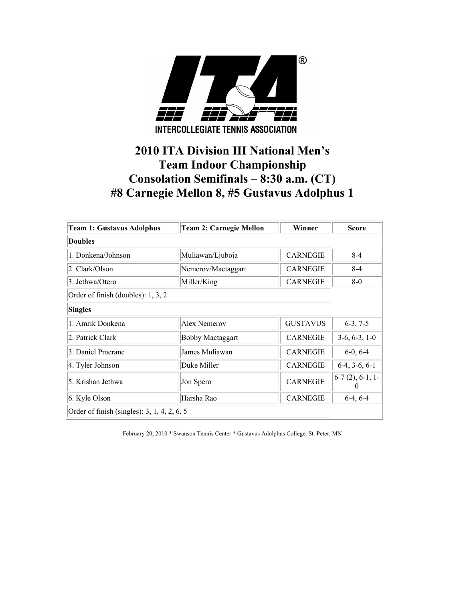

# **2010 ITA Division III National Men's Team Indoor Championship Consolation Semifinals – 8:30 a.m. (CT) #8 Carnegie Mellon 8, #5 Gustavus Adolphus 1**

| <b>Team 1: Gustavus Adolphus</b>            | <b>Team 2: Carnegie Mellon</b> | Winner          | <b>Score</b>      |
|---------------------------------------------|--------------------------------|-----------------|-------------------|
| Doubles                                     |                                |                 |                   |
| 1. Donkena/Johnson                          | Muliawan/Ljuboja               | <b>CARNEGIE</b> | $8-4$             |
| 2. Clark/Olson                              | Nemerov/Mactaggart             | <b>CARNEGIE</b> | $8 - 4$           |
| 3. Jethwa/Otero                             | Miller/King                    | <b>CARNEGIE</b> | $8-0$             |
| Order of finish (doubles): 1, 3, 2          |                                |                 |                   |
| <b>Singles</b>                              |                                |                 |                   |
| 1. Amrik Donkena                            | Alex Nemerov                   | <b>GUSTAVUS</b> | $6-3, 7-5$        |
| 2. Patrick Clark                            | <b>Bobby Mactaggart</b>        | <b>CARNEGIE</b> | $3-6, 6-3, 1-0$   |
| 3. Daniel Pmeranc                           | James Muliawan                 | <b>CARNEGIE</b> | $6-0, 6-4$        |
| 4. Tyler Johnson                            | Duke Miller                    | <b>CARNEGIE</b> | $6-4, 3-6, 6-1$   |
| 5. Krishan Jethwa                           | Jon Spero                      | <b>CARNEGIE</b> | $6-7(2), 6-1, 1-$ |
| 6. Kyle Olson                               | Harsha Rao                     | <b>CARNEGIE</b> | $6-4, 6-4$        |
| Order of finish (singles): 3, 1, 4, 2, 6, 5 |                                |                 |                   |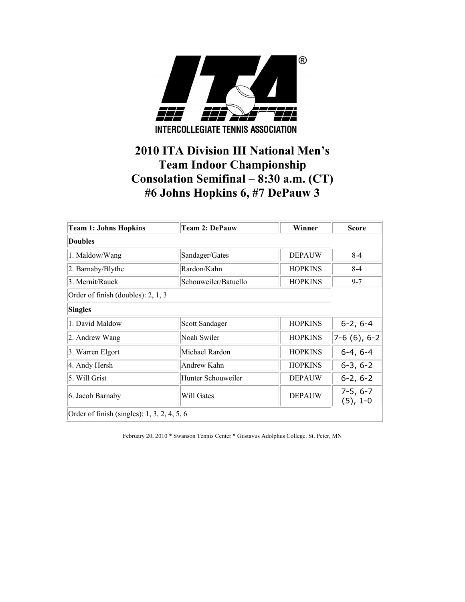

# **2010 ITA Division III National Men's Team Indoor Championship Consolation Semifinal – 8:30 a.m. (CT) #6 Johns Hopkins 6, #7 DePauw 3**

| <b>Team 1: Johns Hopkins</b>                  | <b>Team 2: DePauw</b> | Winner         | <b>Score</b>             |
|-----------------------------------------------|-----------------------|----------------|--------------------------|
| <b>Doubles</b>                                |                       |                |                          |
| 1. Maldow/Wang                                | Sandager/Gates        | <b>DEPAUW</b>  | $8 - 4$                  |
| 2. Barnaby/Blythe                             | Rardon/Kahn           | <b>HOPKINS</b> | $8 - 4$                  |
| 3. Mernit/Rauck                               | Schouweiler/Batuello  | <b>HOPKINS</b> | $9 - 7$                  |
| Order of finish (doubles): 2, 1, 3            |                       |                |                          |
| <b>Singles</b>                                |                       |                |                          |
| 1. David Maldow                               | Scott Sandager        | <b>HOPKINS</b> | $6-2, 6-4$               |
| 2. Andrew Wang                                | Noah Swiler           | <b>HOPKINS</b> | $7-6(6), 6-2$            |
| 3. Warren Elgort                              | Michael Rardon        | <b>HOPKINS</b> | $6-4, 6-4$               |
| 4. Andy Hersh                                 | Andrew Kahn           | <b>HOPKINS</b> | $6-3, 6-2$               |
| 5. Will Grist                                 | Hunter Schouweiler    | <b>DEPAUW</b>  | $6-2, 6-2$               |
| 6. Jacob Barnaby                              | Will Gates            | <b>DEPAUW</b>  | $7-5, 6-7$<br>$(5), 1-0$ |
| Order of finish (singles): $1, 3, 2, 4, 5, 6$ |                       |                |                          |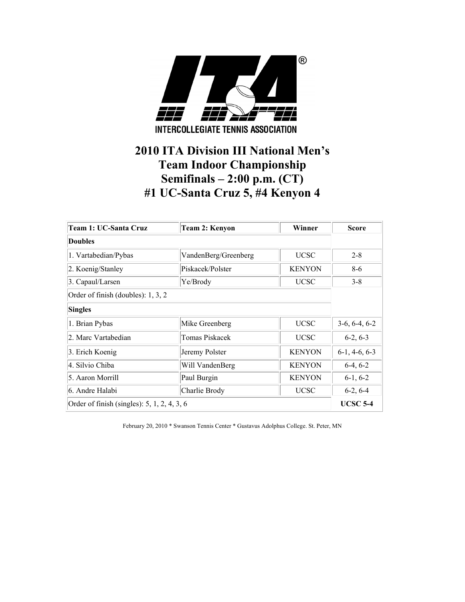

## **2010 ITA Division III National Men's Team Indoor Championship Semifinals – 2:00 p.m. (CT) #1 UC-Santa Cruz 5, #4 Kenyon 4**

| Team 1: UC-Santa Cruz                         | <b>Team 2: Kenyon</b> | Winner        | <b>Score</b>    |
|-----------------------------------------------|-----------------------|---------------|-----------------|
| <b>Doubles</b>                                |                       |               |                 |
| 1. Vartabedian/Pybas                          | VandenBerg/Greenberg  | <b>UCSC</b>   | $2 - 8$         |
| 2. Koenig/Stanley                             | Piskacek/Polster      | <b>KENYON</b> | $8-6$           |
| 3. Capaul/Larsen                              | Ye/Brody              | <b>UCSC</b>   | $3 - 8$         |
| Order of finish (doubles): 1, 3, 2            |                       |               |                 |
| <b>Singles</b>                                |                       |               |                 |
| 1. Brian Pybas                                | Mike Greenberg        | <b>UCSC</b>   | $3-6, 6-4, 6-2$ |
| 2. Marc Vartabedian                           | Tomas Piskacek        | <b>UCSC</b>   | $6-2, 6-3$      |
| 3. Erich Koenig                               | Jeremy Polster        | <b>KENYON</b> | $6-1, 4-6, 6-3$ |
| 4. Silvio Chiba                               | Will VandenBerg       | <b>KENYON</b> | $6-4, 6-2$      |
| 5. Aaron Morrill                              | Paul Burgin           | <b>KENYON</b> | $6-1, 6-2$      |
| 6. Andre Halabi                               | Charlie Brody         | <b>UCSC</b>   | $6-2, 6-4$      |
| Order of finish (singles): $5, 1, 2, 4, 3, 6$ |                       |               | <b>UCSC 5-4</b> |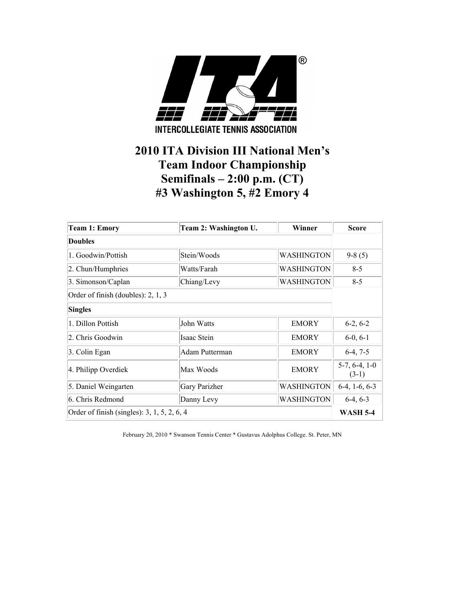

### **2010 ITA Division III National Men's Team Indoor Championship Semifinals – 2:00 p.m. (CT) #3 Washington 5, #2 Emory 4**

| <b>Team 1: Emory</b>                        | Team 2: Washington U.      | Winner       | <b>Score</b>    |
|---------------------------------------------|----------------------------|--------------|-----------------|
| Doubles                                     |                            |              |                 |
| 1. Goodwin/Pottish                          | Stein/Woods                | WASHINGTON   | $9-8(5)$        |
| 2. Chun/Humphries                           | Watts/Farah                | WASHINGTON   | $8 - 5$         |
| 3. Simonson/Caplan                          | Chiang/Levy                | WASHINGTON   | $8 - 5$         |
| Order of finish (doubles): 2, 1, 3          |                            |              |                 |
| <b>Singles</b>                              |                            |              |                 |
| 1. Dillon Pottish                           | John Watts                 | <b>EMORY</b> | $6-2, 6-2$      |
| 2. Chris Goodwin                            | Isaac Stein                | <b>EMORY</b> | $6-0, 6-1$      |
| 3. Colin Egan                               | Adam Putterman             | <b>EMORY</b> | $6-4, 7-5$      |
| 4. Philipp Overdiek                         | $5-7, 6-4, 1-0$<br>$(3-1)$ |              |                 |
| 5. Daniel Weingarten                        | Gary Parizher              | WASHINGTON   | $6-4, 1-6, 6-3$ |
| 6. Chris Redmond                            | Danny Levy                 | WASHINGTON   | $6-4, 6-3$      |
| Order of finish (singles): 3, 1, 5, 2, 6, 4 | <b>WASH 5-4</b>            |              |                 |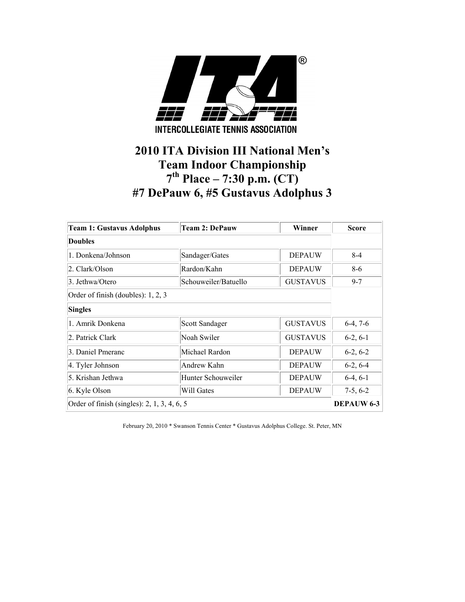

### **2010 ITA Division III National Men's Team Indoor Championship 7th Place – 7:30 p.m. (CT) #7 DePauw 6, #5 Gustavus Adolphus 3**

| <b>Team 1: Gustavus Adolphus</b>              | <b>Team 2: DePauw</b> | Winner          | <b>Score</b>      |
|-----------------------------------------------|-----------------------|-----------------|-------------------|
| <b>Doubles</b>                                |                       |                 |                   |
| 1. Donkena/Johnson                            | Sandager/Gates        | <b>DEPAUW</b>   | $8-4$             |
| 2. Clark/Olson                                | Rardon/Kahn           | <b>DEPAUW</b>   | $8-6$             |
| 3. Jethwa/Otero                               | Schouweiler/Batuello  | <b>GUSTAVUS</b> | $9 - 7$           |
| Order of finish (doubles): 1, 2, 3            |                       |                 |                   |
| <b>Singles</b>                                |                       |                 |                   |
| 1. Amrik Donkena                              | <b>Scott Sandager</b> | <b>GUSTAVUS</b> | $6-4, 7-6$        |
| 2. Patrick Clark                              | Noah Swiler           | <b>GUSTAVUS</b> | $6-2, 6-1$        |
| 3. Daniel Pmeranc                             | Michael Rardon        | <b>DEPAUW</b>   | $6-2, 6-2$        |
| 4. Tyler Johnson                              | Andrew Kahn           | <b>DEPAUW</b>   | $6-2, 6-4$        |
| 5. Krishan Jethwa                             | Hunter Schouweiler    | <b>DEPAUW</b>   | $6-4, 6-1$        |
| 6. Kyle Olson                                 | Will Gates            | <b>DEPAUW</b>   | $7-5, 6-2$        |
| Order of finish (singles): $2, 1, 3, 4, 6, 5$ |                       |                 | <b>DEPAUW 6-3</b> |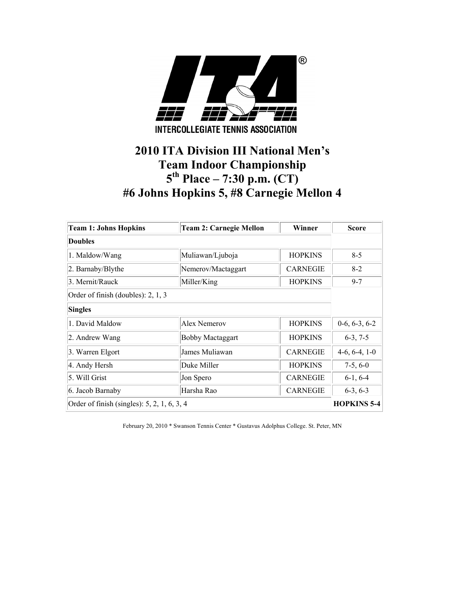

# **2010 ITA Division III National Men's Team Indoor Championship 5th Place – 7:30 p.m. (CT) #6 Johns Hopkins 5, #8 Carnegie Mellon 4**

| <b>Team 1: Johns Hopkins</b>                  | <b>Team 2: Carnegie Mellon</b> | Winner          | <b>Score</b>       |
|-----------------------------------------------|--------------------------------|-----------------|--------------------|
| <b>Doubles</b>                                |                                |                 |                    |
| 1. Maldow/Wang                                | Muliawan/Ljuboja               | <b>HOPKINS</b>  | $8-5$              |
| 2. Barnaby/Blythe                             | Nemerov/Mactaggart             | <b>CARNEGIE</b> | $8 - 2$            |
| 3. Mernit/Rauck                               | Miller/King                    | <b>HOPKINS</b>  | $9 - 7$            |
| Order of finish (doubles): 2, 1, 3            |                                |                 |                    |
| <b>Singles</b>                                |                                |                 |                    |
| 1. David Maldow                               | Alex Nemerov                   | <b>HOPKINS</b>  | $0-6, 6-3, 6-2$    |
| 2. Andrew Wang                                | <b>Bobby Mactaggart</b>        | <b>HOPKINS</b>  | $6-3, 7-5$         |
| 3. Warren Elgort                              | James Muliawan                 | <b>CARNEGIE</b> | $4-6, 6-4, 1-0$    |
| 4. Andy Hersh                                 | Duke Miller                    | <b>HOPKINS</b>  | $7-5, 6-0$         |
| 5. Will Grist                                 | Jon Spero                      | <b>CARNEGIE</b> | $6-1, 6-4$         |
| 6. Jacob Barnaby                              | Harsha Rao                     | <b>CARNEGIE</b> | $6-3, 6-3$         |
| Order of finish (singles): $5, 2, 1, 6, 3, 4$ |                                |                 | <b>HOPKINS 5-4</b> |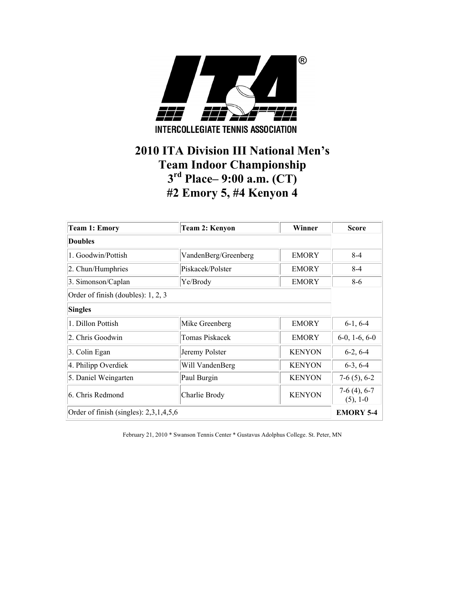

### **2010 ITA Division III National Men's Team Indoor Championship 3rd Place– 9:00 a.m. (CT) #2 Emory 5, #4 Kenyon 4**

| <b>Team 1: Emory</b>                     | <b>Team 2: Kenyon</b> | Winner        | <b>Score</b>                  |
|------------------------------------------|-----------------------|---------------|-------------------------------|
| <b>Doubles</b>                           |                       |               |                               |
| 1. Goodwin/Pottish                       | VandenBerg/Greenberg  | <b>EMORY</b>  | $8-4$                         |
| 2. Chun/Humphries                        | Piskacek/Polster      | <b>EMORY</b>  | $8 - 4$                       |
| 3. Simonson/Caplan                       | Ye/Brody              | <b>EMORY</b>  | $8 - 6$                       |
| Order of finish (doubles): 1, 2, 3       |                       |               |                               |
| <b>Singles</b>                           |                       |               |                               |
| 1. Dillon Pottish                        | Mike Greenberg        | <b>EMORY</b>  | $6-1, 6-4$                    |
| 2. Chris Goodwin                         | Tomas Piskacek        | <b>EMORY</b>  | $6-0$ , 1 $-6$ , $6-0$        |
| 3. Colin Egan                            | Jeremy Polster        | <b>KENYON</b> | $6-2, 6-4$                    |
| 4. Philipp Overdiek                      | Will VandenBerg       | <b>KENYON</b> | $6-3, 6-4$                    |
| 5. Daniel Weingarten                     | Paul Burgin           | <b>KENYON</b> | $7-6(5)$ , 6-2                |
| 6. Chris Redmond                         | Charlie Brody         | <b>KENYON</b> | $7-6(4)$ , 6-7<br>$(5)$ , 1-0 |
| Order of finish (singles): $2,3,1,4,5,6$ |                       |               | <b>EMORY 5-4</b>              |